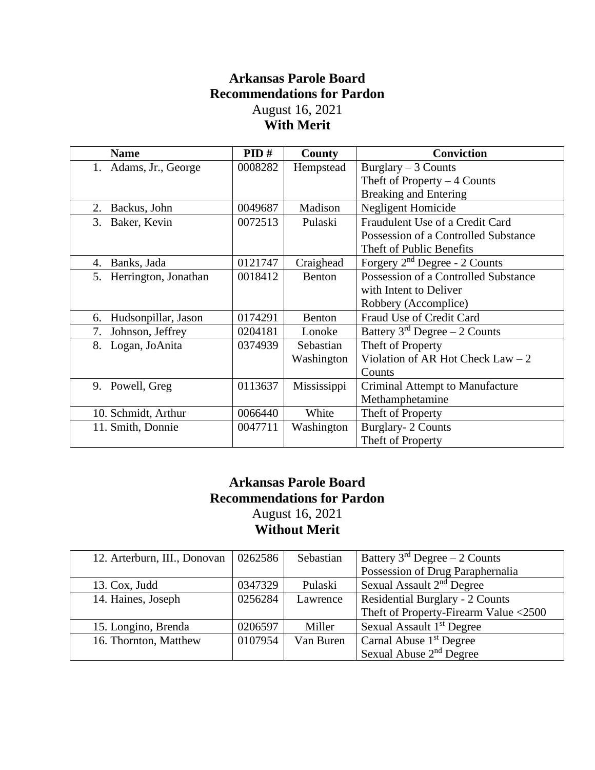## **Arkansas Parole Board Recommendations for Pardon** August 16, 2021 **With Merit**

| <b>Name</b>               | PID#    | County      | <b>Conviction</b>                    |
|---------------------------|---------|-------------|--------------------------------------|
| 1. Adams, Jr., George     | 0008282 | Hempstead   | Burglary $-3$ Counts                 |
|                           |         |             | Theft of Property $-4$ Counts        |
|                           |         |             | <b>Breaking and Entering</b>         |
| Backus, John<br>2.        | 0049687 | Madison     | Negligent Homicide                   |
| Baker, Kevin<br>3.        | 0072513 | Pulaski     | Fraudulent Use of a Credit Card      |
|                           |         |             | Possession of a Controlled Substance |
|                           |         |             | Theft of Public Benefits             |
| Banks, Jada<br>4.         | 0121747 | Craighead   | Forgery $2nd$ Degree - 2 Counts      |
| 5. Herrington, Jonathan   | 0018412 | Benton      | Possession of a Controlled Substance |
|                           |         |             | with Intent to Deliver               |
|                           |         |             | Robbery (Accomplice)                 |
| Hudsonpillar, Jason<br>6. | 0174291 | Benton      | Fraud Use of Credit Card             |
| Johnson, Jeffrey<br>7.    | 0204181 | Lonoke      | Battery $3rd$ Degree $-2$ Counts     |
| 8.<br>Logan, JoAnita      | 0374939 | Sebastian   | Theft of Property                    |
|                           |         | Washington  | Violation of AR Hot Check Law $-2$   |
|                           |         |             | Counts                               |
| 9. Powell, Greg           | 0113637 | Mississippi | Criminal Attempt to Manufacture      |
|                           |         |             | Methamphetamine                      |
| 10. Schmidt, Arthur       | 0066440 | White       | Theft of Property                    |
| 11. Smith, Donnie         | 0047711 | Washington  | <b>Burglary-2 Counts</b>             |
|                           |         |             | Theft of Property                    |

## **Arkansas Parole Board Recommendations for Pardon** August 16, 2021 **Without Merit**

| 12. Arterburn, III., Donovan | 0262586 | Sebastian | Battery $3rd$ Degree $-2$ Counts       |
|------------------------------|---------|-----------|----------------------------------------|
|                              |         |           | Possession of Drug Paraphernalia       |
| 13. Cox, Judd                | 0347329 | Pulaski   | Sexual Assault $2nd$ Degree            |
| 14. Haines, Joseph           | 0256284 | Lawrence  | <b>Residential Burglary - 2 Counts</b> |
|                              |         |           | Theft of Property-Firearm Value <2500  |
| 15. Longino, Brenda          | 0206597 | Miller    | Sexual Assault 1 <sup>st</sup> Degree  |
| 16. Thornton, Matthew        | 0107954 | Van Buren | Carnal Abuse $1st$ Degree              |
|                              |         |           | Sexual Abuse 2 <sup>nd</sup> Degree    |